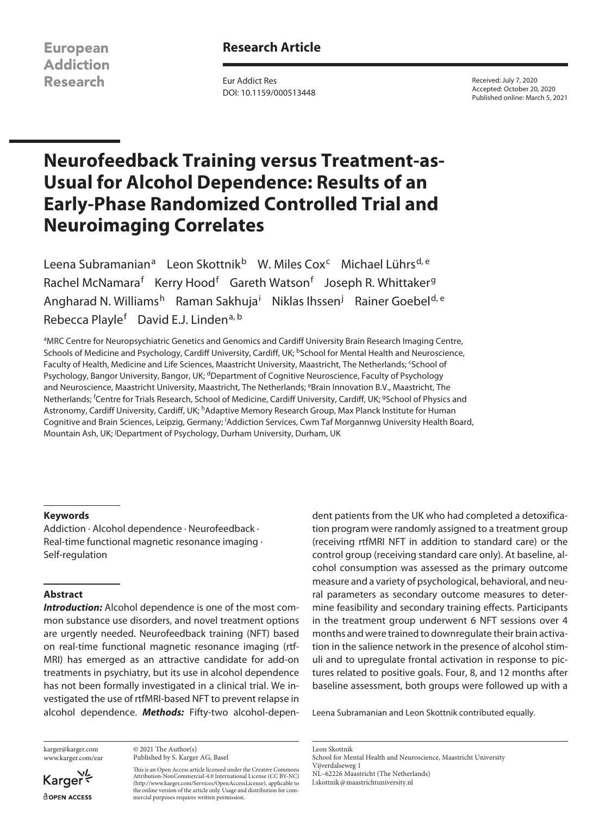**European Addiction Research** 

# **Research Article**

Eur Addict Res DOI: 10.1159/000513448

Received: July 7, 2020 Accepted: October 20, 2020 Published online: March 5, 2021

# **Neurofeedback Training versus Treatment-as-Usual for Alcohol Dependence: Results of an Early-Phase Randomized Controlled Trial and Neuroimaging Correlates**

Leena Subramanian<sup>a</sup> Leon Skottnik<sup>b</sup> W. Miles Cox<sup>c</sup> Michael Lührs<sup>d, e</sup> Rachel McNamara<sup>f</sup> Kerry Hood<sup>f</sup> Gareth Watson<sup>f</sup> Joseph R. Whittaker<sup>g</sup> Angharad N. Williams<sup>h</sup> Raman Sakhuja<sup>i</sup> Niklas Ihssen<sup>j</sup> Rainer Goebel<sup>d, e</sup> Rebecca Playle<sup>f</sup> David E.J. Linden<sup>a, b</sup>

<sup>a</sup>MRC Centre for Neuropsychiatric Genetics and Genomics and Cardiff University Brain Research Imaging Centre, Schools of Medicine and Psychology, Cardiff University, Cardiff, UK; <sup>b</sup>School for Mental Health and Neuroscience, Faculty of Health, Medicine and Life Sciences, Maastricht University, Maastricht, The Netherlands; <sup>c</sup>School of Psychology, Bangor University, Bangor, UK; <sup>d</sup>Department of Cognitive Neuroscience, Faculty of Psychology and Neuroscience, Maastricht University, Maastricht, The Netherlands; <sup>e</sup>Brain Innovation B.V., Maastricht, The Netherlands; <sup>f</sup> Centre for Trials Research, School of Medicine, Cardiff University, Cardiff, UK; gSchool of Physics and Astronomy, Cardiff University, Cardiff, UK; <sup>h</sup>Adaptive Memory Research Group, Max Planck Institute for Human Cognitive and Brain Sciences, Leipzig, Germany; <sup>i</sup> Addiction Services, Cwm Taf Morgannwg University Health Board, Mountain Ash, UK; <sup>j</sup>Department of Psychology, Durham University, Durham, UK

#### **Keywords**

Addiction · Alcohol dependence · Neurofeedback · Real-time functional magnetic resonance imaging · Self-regulation

### **Abstract**

*Introduction:* Alcohol dependence is one of the most common substance use disorders, and novel treatment options are urgently needed. Neurofeedback training (NFT) based on real-time functional magnetic resonance imaging (rtf-MRI) has emerged as an attractive candidate for add-on treatments in psychiatry, but its use in alcohol dependence has not been formally investigated in a clinical trial. We investigated the use of rtfMRI-based NFT to prevent relapse in alcohol dependence. *Methods:* Fifty-two alcohol-depen-

karger@karger.com www.karger.com/ear

Karger dopen Access

© 2021 The Author(s) Published by S. Karger AG, Basel

This is an Open Access article licensed under the Creative Commons Attribution-NonCommercial-4.0 International License (CC BY-NC) (http://www.karger.com/Services/OpenAccessLicense), applicable to the online version of the article only. Usage and distribution for commercial purposes requires written permission.

dent patients from the UK who had completed a detoxification program were randomly assigned to a treatment group (receiving rtfMRI NFT in addition to standard care) or the control group (receiving standard care only). At baseline, alcohol consumption was assessed as the primary outcome measure and a variety of psychological, behavioral, and neural parameters as secondary outcome measures to determine feasibility and secondary training effects. Participants in the treatment group underwent 6 NFT sessions over 4 months and were trained to downregulate their brain activation in the salience network in the presence of alcohol stimuli and to upregulate frontal activation in response to pictures related to positive goals. Four, 8, and 12 months after baseline assessment, both groups were followed up with a

Leena Subramanian and Leon Skottnik contributed equally.

Leon Skottnik School for Mental Health and Neuroscience, Maastricht University Vijverdalseweg 1 NL–62226 Maastricht (The Netherlands) l.skottnik@maastrichtuniversity.nl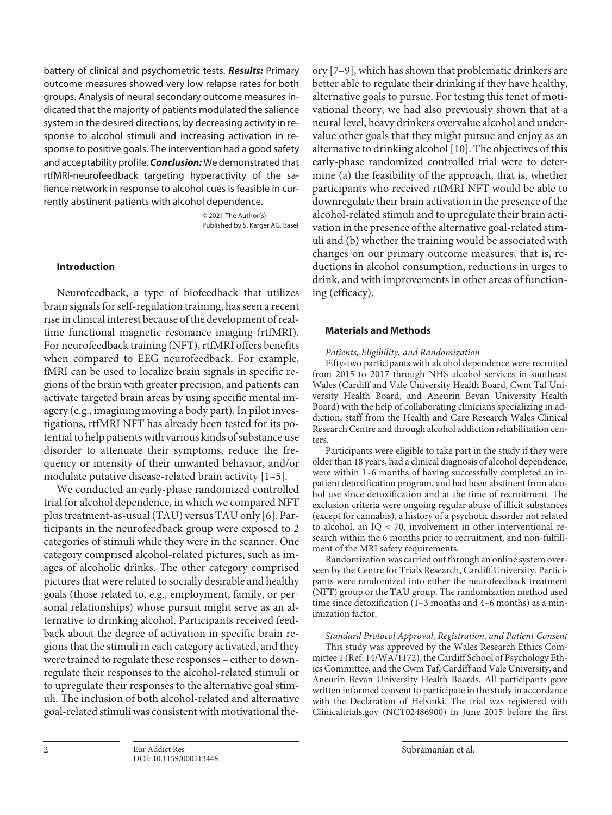battery of clinical and psychometric tests. *Results:* Primary outcome measures showed very low relapse rates for both groups. Analysis of neural secondary outcome measures indicated that the majority of patients modulated the salience system in the desired directions, by decreasing activity in response to alcohol stimuli and increasing activation in response to positive goals. The intervention had a good safety and acceptability profile. *Conclusion:* We demonstrated that rtfMRI-neurofeedback targeting hyperactivity of the salience network in response to alcohol cues is feasible in currently abstinent patients with alcohol dependence.

> © 2021 The Author(s) Published by S. Karger AG, Basel

# **Introduction**

Neurofeedback, a type of biofeedback that utilizes brain signals for self-regulation training, has seen a recent rise in clinical interest because of the development of realtime functional magnetic resonance imaging (rtfMRI). For neurofeedback training (NFT), rtfMRI offers benefits when compared to EEG neurofeedback. For example, fMRI can be used to localize brain signals in specific regions of the brain with greater precision, and patients can activate targeted brain areas by using specific mental imagery (e.g., imagining moving a body part). In pilot investigations, rtfMRI NFT has already been tested for its potential to help patients with various kinds of substance use disorder to attenuate their symptoms, reduce the frequency or intensity of their unwanted behavior, and/or modulate putative disease-related brain activity [\[1](#page-13-0)[–5\]](#page-13-1).

<span id="page-1-1"></span><span id="page-1-0"></span>We conducted an early-phase randomized controlled trial for alcohol dependence, in which we compared NFT plus treatment-as-usual (TAU) versus TAU only [[6](#page-13-2)]. Participants in the neurofeedback group were exposed to 2 categories of stimuli while they were in the scanner. One category comprised alcohol-related pictures, such as images of alcoholic drinks. The other category comprised pictures that were related to socially desirable and healthy goals (those related to, e.g., employment, family, or personal relationships) whose pursuit might serve as an alternative to drinking alcohol. Participants received feedback about the degree of activation in specific brain regions that the stimuli in each category activated, and they were trained to regulate these responses – either to downregulate their responses to the alcohol-related stimuli or to upregulate their responses to the alternative goal stimuli. The inclusion of both alcohol-related and alternative goal-related stimuli was consistent with motivational the<span id="page-1-3"></span><span id="page-1-2"></span>ory [\[7](#page-13-3)[–9\]](#page-13-4), which has shown that problematic drinkers are better able to regulate their drinking if they have healthy, alternative goals to pursue. For testing this tenet of motivational theory, we had also previously shown that at a neural level, heavy drinkers overvalue alcohol and undervalue other goals that they might pursue and enjoy as an alternative to drinking alcohol [[1](#page-13-0)0]. The objectives of this early-phase randomized controlled trial were to determine (a) the feasibility of the approach, that is, whether participants who received rtfMRI NFT would be able to downregulate their brain activation in the presence of the alcohol-related stimuli and to upregulate their brain activation in the presence of the alternative goal-related stimuli and (b) whether the training would be associated with changes on our primary outcome measures, that is, reductions in alcohol consumption, reductions in urges to drink, and with improvements in other areas of functioning (efficacy).

#### **Materials and Methods**

#### *Patients, Eligibility, and Randomization*

Fifty-two participants with alcohol dependence were recruited from 2015 to 2017 through NHS alcohol services in southeast Wales (Cardiff and Vale University Health Board, Cwm Taf University Health Board, and Aneurin Bevan University Health Board) with the help of collaborating clinicians specializing in addiction, staff from the Health and Care Research Wales Clinical Research Centre and through alcohol addiction rehabilitation centers.

Participants were eligible to take part in the study if they were older than 18 years, had a clinical diagnosis of alcohol dependence, were within 1–6 months of having successfully completed an inpatient detoxification program, and had been abstinent from alcohol use since detoxification and at the time of recruitment. The exclusion criteria were ongoing regular abuse of illicit substances (except for cannabis), a history of a psychotic disorder not related to alcohol, an IQ < 70, involvement in other interventional research within the 6 months prior to recruitment, and non-fulfillment of the MRI safety requirements.

Randomization was carried out through an online system overseen by the Centre for Trials Research, Cardiff University. Participants were randomized into either the neurofeedback treatment (NFT) group or the TAU group. The randomization method used time since detoxification (1–3 months and 4–6 months) as a minimization factor.

*Standard Protocol Approval, Registration, and Patient Consent* This study was approved by the Wales Research Ethics Committee 1 (Ref: 14/WA/1172), the Cardiff School of Psychology Ethics Committee, and the Cwm Taf, Cardiff and Vale University, and Aneurin Bevan University Health Boards. All participants gave written informed consent to participate in the study in accordance with the Declaration of Helsinki. The trial was registered with Clinicaltrials.gov (NCT02486900) in June 2015 before the first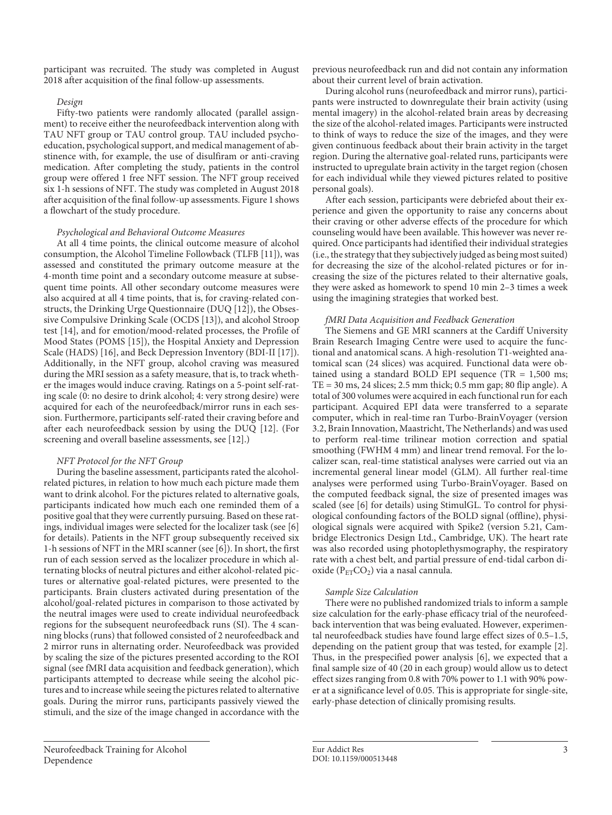participant was recruited. The study was completed in August 2018 after acquisition of the final follow-up assessments.

#### *Design*

Fifty-two patients were randomly allocated (parallel assignment) to receive either the neurofeedback intervention along with TAU NFT group or TAU control group. TAU included psychoeducation, psychological support, and medical management of abstinence with, for example, the use of disulfiram or anti-craving medication. After completing the study, patients in the control group were offered 1 free NFT session. The NFT group received six 1-h sessions of NFT. The study was completed in August 2018 after acquisition of the final follow-up assessments. Figure 1 shows a flowchart of the study procedure.

#### *Psychological and Behavioral Outcome Measures*

<span id="page-2-5"></span><span id="page-2-4"></span><span id="page-2-3"></span><span id="page-2-2"></span><span id="page-2-1"></span><span id="page-2-0"></span>At all 4 time points, the clinical outcome measure of alcohol consumption, the Alcohol Timeline Followback (TLFB [\[11](#page-13-0)]), was assessed and constituted the primary outcome measure at the 4-month time point and a secondary outcome measure at subsequent time points. All other secondary outcome measures were also acquired at all 4 time points, that is, for craving-related constructs, the Drinking Urge Questionnaire (DUQ [[1](#page-13-0)[2](#page-13-5)]), the Obsessive Compulsive Drinking Scale (OCDS [\[1](#page-13-0)[3](#page-13-6)]), and alcohol Stroop test [[1](#page-13-0)[4\]](#page-13-7), and for emotion/mood-related processes, the Profile of Mood States (POMS [[1](#page-13-0)[5\]](#page-13-1)), the Hospital Anxiety and Depression Scale (HADS) [[1](#page-13-0)[6](#page-13-2)], and Beck Depression Inventory (BDI-II [\[1](#page-13-0)[7\]](#page-13-3)). Additionally, in the NFT group, alcohol craving was measured during the MRI session as a safety measure, that is, to track whether the images would induce craving. Ratings on a 5-point self-rating scale (0: no desire to drink alcohol; 4: very strong desire) were acquired for each of the neurofeedback/mirror runs in each session. Furthermore, participants self-rated their craving before and after each neurofeedback session by using the DUQ [\[1](#page-13-0)[2](#page-13-5)]. (For screening and overall baseline assessments, see [\[1](#page-13-0)[2](#page-13-5)].)

#### *NFT Protocol for the NFT Group*

During the baseline assessment, participants rated the alcoholrelated pictures, in relation to how much each picture made them want to drink alcohol. For the pictures related to alternative goals, participants indicated how much each one reminded them of a positive goal that they were currently pursuing. Based on these ratings, individual images were selected for the localizer task (see [\[6](#page-13-2)] for details). Patients in the NFT group subsequently received six 1-h sessions of NFT in the MRI scanner (see [\[6\]](#page-13-2)). In short, the first run of each session served as the localizer procedure in which alternating blocks of neutral pictures and either alcohol-related pictures or alternative goal-related pictures, were presented to the participants. Brain clusters activated during presentation of the alcohol/goal-related pictures in comparison to those activated by the neutral images were used to create individual neurofeedback regions for the subsequent neurofeedback runs (SI). The 4 scanning blocks (runs) that followed consisted of 2 neurofeedback and 2 mirror runs in alternating order. Neurofeedback was provided by scaling the size of the pictures presented according to the ROI signal (see fMRI data acquisition and feedback generation), which participants attempted to decrease while seeing the alcohol pictures and to increase while seeing the pictures related to alternative goals. During the mirror runs, participants passively viewed the stimuli, and the size of the image changed in accordance with the

previous neurofeedback run and did not contain any information about their current level of brain activation.

During alcohol runs (neurofeedback and mirror runs), participants were instructed to downregulate their brain activity (using mental imagery) in the alcohol-related brain areas by decreasing the size of the alcohol-related images. Participants were instructed to think of ways to reduce the size of the images, and they were given continuous feedback about their brain activity in the target region. During the alternative goal-related runs, participants were instructed to upregulate brain activity in the target region (chosen for each individual while they viewed pictures related to positive personal goals).

After each session, participants were debriefed about their experience and given the opportunity to raise any concerns about their craving or other adverse effects of the procedure for which counseling would have been available. This however was never required. Once participants had identified their individual strategies (i.e., the strategy that they subjectively judged as being most suited) for decreasing the size of the alcohol-related pictures or for increasing the size of the pictures related to their alternative goals, they were asked as homework to spend 10 min 2–3 times a week using the imagining strategies that worked best.

#### *fMRI Data Acquisition and Feedback Generation*

<span id="page-2-6"></span>The Siemens and GE MRI scanners at the Cardiff University Brain Research Imaging Centre were used to acquire the functional and anatomical scans. A high-resolution T1-weighted anatomical scan (24 slices) was acquired. Functional data were obtained using a standard BOLD EPI sequence (TR =  $1,500$  ms;  $TE = 30$  ms, 24 slices; 2.5 mm thick; 0.5 mm gap; 80 flip angle). A total of 300 volumes were acquired in each functional run for each participant. Acquired EPI data were transferred to a separate computer, which in real-time ran Turbo-BrainVoyager (version 3.2, Brain Innovation, Maastricht, The Netherlands) and was used to perform real-time trilinear motion correction and spatial smoothing (FWHM 4 mm) and linear trend removal. For the localizer scan, real-time statistical analyses were carried out via an incremental general linear model (GLM). All further real-time analyses were performed using Turbo-BrainVoyager. Based on the computed feedback signal, the size of presented images was scaled (see [[6](#page-13-2)] for details) using StimulGL. To control for physiological confounding factors of the BOLD signal (offline), physiological signals were acquired with Spike2 (version 5.21, Cambridge Electronics Design Ltd., Cambridge, UK). The heart rate was also recorded using photoplethysmography, the respiratory rate with a chest belt, and partial pressure of end-tidal carbon dioxide ( $P_{ET}CO_2$ ) via a nasal cannula.

#### *Sample Size Calculation*

There were no published randomized trials to inform a sample size calculation for the early-phase efficacy trial of the neurofeedback intervention that was being evaluated. However, experimental neurofeedback studies have found large effect sizes of 0.5–1.5, depending on the patient group that was tested, for example [[2](#page-13-5)]. Thus, in the prespecified power analysis [\[6\]](#page-13-2), we expected that a final sample size of 40 (20 in each group) would allow us to detect effect sizes ranging from 0.8 with 70% power to 1.1 with 90% power at a significance level of 0.05. This is appropriate for single-site, early-phase detection of clinically promising results.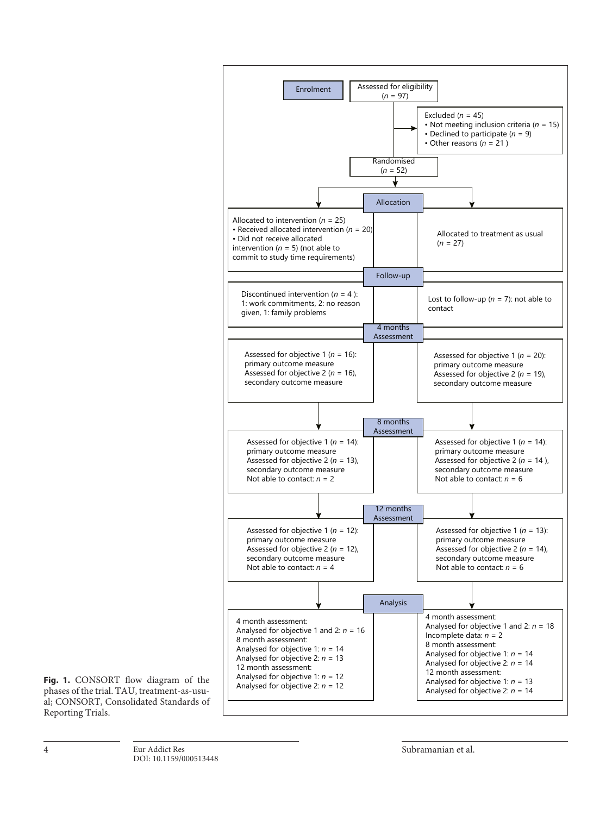

**Fig. 1.** CONSORT flow diagram of the phases of the trial. TAU, treatment-as-usual; CONSORT, Consolidated Standards of Reporting Trials.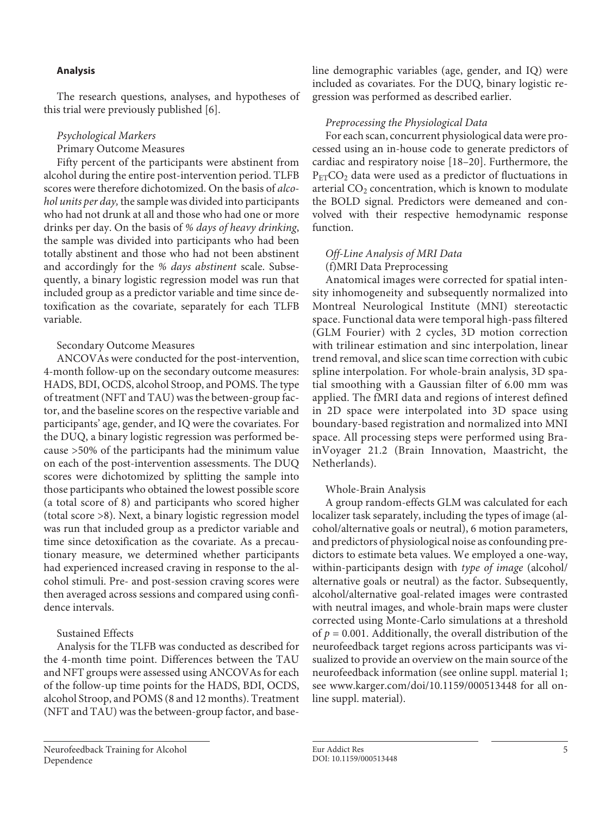## **Analysis**

The research questions, analyses, and hypotheses of this trial were previously published [\[6](#page-13-2)].

## *Psychological Markers*

Primary Outcome Measures

Fifty percent of the participants were abstinent from alcohol during the entire post-intervention period. TLFB scores were therefore dichotomized. On the basis of *alcohol units per day,* the sample was divided into participants who had not drunk at all and those who had one or more drinks per day. On the basis of *% days of heavy drinking*, the sample was divided into participants who had been totally abstinent and those who had not been abstinent and accordingly for the *% days abstinent* scale. Subsequently, a binary logistic regression model was run that included group as a predictor variable and time since detoxification as the covariate, separately for each TLFB variable.

## Secondary Outcome Measures

ANCOVAs were conducted for the post-intervention, 4-month follow-up on the secondary outcome measures: HADS, BDI, OCDS, alcohol Stroop, and POMS. The type of treatment (NFT and TAU) was the between-group factor, and the baseline scores on the respective variable and participants' age, gender, and IQ were the covariates. For the DUQ, a binary logistic regression was performed because >50% of the participants had the minimum value on each of the post-intervention assessments. The DUQ scores were dichotomized by splitting the sample into those participants who obtained the lowest possible score (a total score of 8) and participants who scored higher (total score >8). Next, a binary logistic regression model was run that included group as a predictor variable and time since detoxification as the covariate. As a precautionary measure, we determined whether participants had experienced increased craving in response to the alcohol stimuli. Pre- and post-session craving scores were then averaged across sessions and compared using confidence intervals.

# Sustained Effects

Analysis for the TLFB was conducted as described for the 4-month time point. Differences between the TAU and NFT groups were assessed using ANCOVAs for each of the follow-up time points for the HADS, BDI, OCDS, alcohol Stroop, and POMS (8 and 12 months). Treatment (NFT and TAU) was the between-group factor, and baseline demographic variables (age, gender, and IQ) were included as covariates. For the DUQ, binary logistic regression was performed as described earlier.

## *Preprocessing the Physiological Data*

<span id="page-4-0"></span>For each scan, concurrent physiological data were processed using an in-house code to generate predictors of cardiac and respiratory noise [\[1](#page-13-0)[8–](#page-13-8)[20](#page-13-5)]. Furthermore, the  $P_{ET}CO<sub>2</sub>$  data were used as a predictor of fluctuations in arterial  $CO<sub>2</sub>$  concentration, which is known to modulate the BOLD signal. Predictors were demeaned and convolved with their respective hemodynamic response function.

# *Off-Line Analysis of MRI Data*

(f)MRI Data Preprocessing

Anatomical images were corrected for spatial intensity inhomogeneity and subsequently normalized into Montreal Neurological Institute (MNI) stereotactic space. Functional data were temporal high-pass filtered (GLM Fourier) with 2 cycles, 3D motion correction with trilinear estimation and sinc interpolation, linear trend removal, and slice scan time correction with cubic spline interpolation. For whole-brain analysis, 3D spatial smoothing with a Gaussian filter of 6.00 mm was applied. The fMRI data and regions of interest defined in 2D space were interpolated into 3D space using boundary-based registration and normalized into MNI space. All processing steps were performed using BrainVoyager 21.2 (Brain Innovation, Maastricht, the Netherlands).

## Whole-Brain Analysis

A group random-effects GLM was calculated for each localizer task separately, including the types of image (alcohol/alternative goals or neutral), 6 motion parameters, and predictors of physiological noise as confounding predictors to estimate beta values. We employed a one-way, within-participants design with *type of image* (alcohol/ alternative goals or neutral) as the factor. Subsequently, alcohol/alternative goal-related images were contrasted with neutral images, and whole-brain maps were cluster corrected using Monte-Carlo simulations at a threshold of *p* = 0.001. Additionally, the overall distribution of the neurofeedback target regions across participants was visualized to provide an overview on the main source of the neurofeedback information (see online suppl. material 1; see www.karger.com/doi/10.1159/000513448 for all online suppl. material).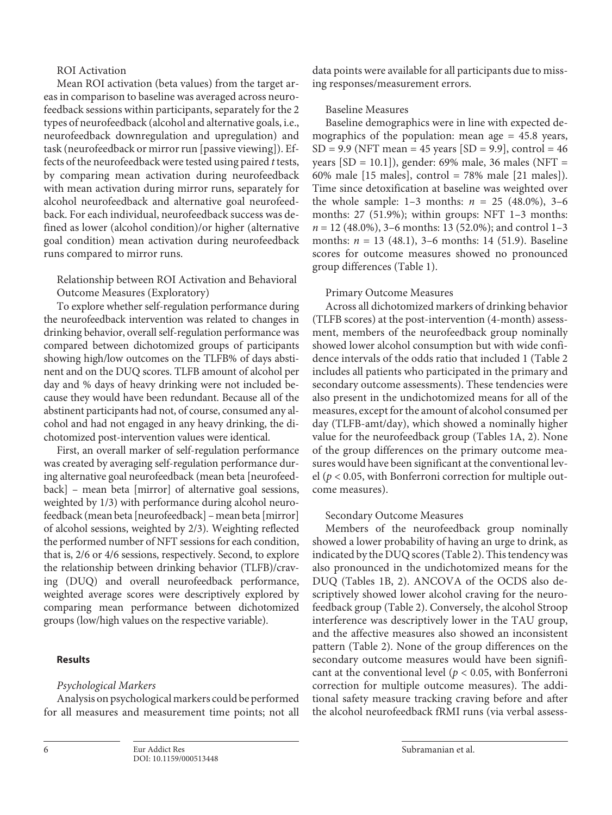## ROI Activation

Mean ROI activation (beta values) from the target areas in comparison to baseline was averaged across neurofeedback sessions within participants, separately for the 2 types of neurofeedback (alcohol and alternative goals, i.e., neurofeedback downregulation and upregulation) and task (neurofeedback or mirror run [passive viewing]). Effects of the neurofeedback were tested using paired *t* tests, by comparing mean activation during neurofeedback with mean activation during mirror runs, separately for alcohol neurofeedback and alternative goal neurofeedback. For each individual, neurofeedback success was defined as lower (alcohol condition)/or higher (alternative goal condition) mean activation during neurofeedback runs compared to mirror runs.

Relationship between ROI Activation and Behavioral Outcome Measures (Exploratory)

To explore whether self-regulation performance during the neurofeedback intervention was related to changes in drinking behavior, overall self-regulation performance was compared between dichotomized groups of participants showing high/low outcomes on the TLFB% of days abstinent and on the DUQ scores. TLFB amount of alcohol per day and % days of heavy drinking were not included because they would have been redundant. Because all of the abstinent participants had not, of course, consumed any alcohol and had not engaged in any heavy drinking, the dichotomized post-intervention values were identical.

First, an overall marker of self-regulation performance was created by averaging self-regulation performance during alternative goal neurofeedback (mean beta [neurofeedback] – mean beta [mirror] of alternative goal sessions, weighted by 1/3) with performance during alcohol neurofeedback (mean beta [neurofeedback] – mean beta [mirror] of alcohol sessions, weighted by 2/3). Weighting reflected the performed number of NFT sessions for each condition, that is, 2/6 or 4/6 sessions, respectively. Second, to explore the relationship between drinking behavior (TLFB)/craving (DUQ) and overall neurofeedback performance, weighted average scores were descriptively explored by comparing mean performance between dichotomized groups (low/high values on the respective variable).

#### **Results**

#### *Psychological Markers*

Analysis on psychological markers could be performed for all measures and measurement time points; not all data points were available for all participants due to missing responses/measurement errors.

## Baseline Measures

Baseline demographics were in line with expected demographics of the population: mean age = 45.8 years,  $SD = 9.9$  (NFT mean = 45 years  $[SD = 9.9]$ , control = 46 years [SD = 10.1]), gender: 69% male, 36 males (NFT = 60% male [15 males], control = 78% male [21 males]). Time since detoxification at baseline was weighted over the whole sample:  $1-3$  months:  $n = 25$  (48.0%), 3-6 months: 27 (51.9%); within groups: NFT 1–3 months: *n* = 12 (48.0%), 3–6 months: 13 (52.0%); and control 1–3 months: *n* = 13 (48.1), 3–6 months: 14 (51.9). Baseline scores for outcome measures showed no pronounced group differences (Table 1).

#### Primary Outcome Measures

Across all dichotomized markers of drinking behavior (TLFB scores) at the post-intervention (4-month) assessment, members of the neurofeedback group nominally showed lower alcohol consumption but with wide confidence intervals of the odds ratio that included 1 (Table 2 includes all patients who participated in the primary and secondary outcome assessments). These tendencies were also present in the undichotomized means for all of the measures, except for the amount of alcohol consumed per day (TLFB-amt/day), which showed a nominally higher value for the neurofeedback group (Tables 1A, 2). None of the group differences on the primary outcome measures would have been significant at the conventional level (*p* < 0.05, with Bonferroni correction for multiple outcome measures).

#### Secondary Outcome Measures

Members of the neurofeedback group nominally showed a lower probability of having an urge to drink, as indicated by the DUQ scores (Table 2). This tendency was also pronounced in the undichotomized means for the DUQ (Tables 1B, 2). ANCOVA of the OCDS also descriptively showed lower alcohol craving for the neurofeedback group (Table 2). Conversely, the alcohol Stroop interference was descriptively lower in the TAU group, and the affective measures also showed an inconsistent pattern (Table 2). None of the group differences on the secondary outcome measures would have been significant at the conventional level ( $p < 0.05$ , with Bonferroni correction for multiple outcome measures). The additional safety measure tracking craving before and after the alcohol neurofeedback fRMI runs (via verbal assess-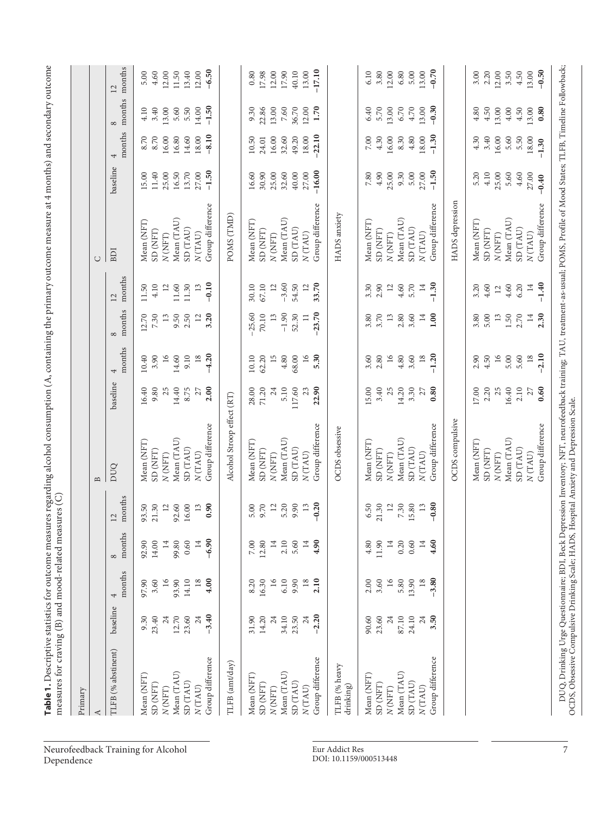| Primary                    |                    |                         |                            |                         |                            |            |                 |                        |               |                               |                |                |                    |                |
|----------------------------|--------------------|-------------------------|----------------------------|-------------------------|----------------------------|------------|-----------------|------------------------|---------------|-------------------------------|----------------|----------------|--------------------|----------------|
| ≺                          |                    |                         |                            |                         | $\mathbf{\underline{a}}$   |            |                 |                        |               | $\cup$                        |                |                |                    |                |
| TLFB (% abstinent)         | baseline           | months<br>4             | months<br>$^{\circ}$       | months<br>12            | DUQ                        | baseline   | months<br>4     | months<br>$\infty$     | months<br>12  | BDI                           | baseline       | months<br>4    | months<br>$\infty$ | months<br>12   |
| Mean (NFT)                 | 9.30               | 97.90                   | 92.90                      | 93.50                   | Mean (NFT)                 | 16.40      | 10.40           | 12.70                  | 11.50         | Mean (NFT)                    | 15.00          | 8.70           | 4.10               | 5.00           |
| SD (NFT)                   | 23.40              | 3.60                    | 14.00                      | 21.30                   | SD (NFT)                   | 9.80       | 3.90            | 7.30                   | 4.10          | SD (NFT)                      | 11.40          | 8.70           | 3.40               | 4.60           |
| N(NFT)                     | 24                 | $\overline{16}$         | $\overline{14}$            | $\overline{a}$          | $N\left( \rm{NFT} \right)$ | 25         | 16              | 13                     | 12            | N(NFT)                        | 25.00          | 16.00          | 13.00              | 12.00          |
| Mean (TAU)                 | 12.70              | 93.90                   | 99.80                      | 92.60                   | Mean (TAU)                 | 14.40      | 14.60           | 9.50                   | 11.60         | Mean (TAU)                    | 16.50          | 16.80          | 5.60               | 11.50          |
| SD (TAU)<br>N(TAU)         | 23.60              | 14.10                   | 0.60                       | 16.00                   | SD (TAU)<br>N(TAU)         | 8.75       | 9.10<br>18      | 2.50<br>$\frac{12}{1}$ | 11.30         | SD (TAU)<br>N(TAU)            | 13.70<br>27.00 | 14.60<br>18.00 | 5.50               | 13.40<br>12.00 |
| Group difference           | $-3.40$<br>$^{24}$ | $\overline{18}$<br>4.00 | $-6.90$<br>$\overline{14}$ | 0.90<br>$\overline{13}$ | Group difference           | 2.00<br>27 | $-4.20$         | 3.20                   | $-0.10$<br>13 | Group difference              | $-1.50$        | $-8.10$        | $-1.50$<br>14.00   | $-6.50$        |
| TLFB (amt/day)             |                    |                         |                            |                         | Alcohol Stroop effect (RT) |            |                 |                        |               | POMS (TMD)                    |                |                |                    |                |
| Mean (NFT)                 | 31.90              | 8.20                    | $7.00\,$                   | 5.00                    | Mean (NFT)                 | 28.00      | 10.10           | $-25.60$               | 30.10         | Mean (NFT)                    | 16.60          | 10.50          | 9.30               | $0.80\,$       |
| SD (NFT)                   | 14.20              | 16.30                   | 12.80                      | 9.70                    | SD (NFT)                   | 71.20      | 62.20           | 70.10                  | 67.10         | SD (NFT)                      | 30.90          | 24.01          | 22.86              | 17.98          |
| N(NFT)                     | 24                 | 16                      | $\overline{14}$            | 12                      | N(NFT)                     | 24         | 15              | 13                     | 12            | $N$ (NFT)                     | 25.00          | 16.00          | 13.00              | 12.00          |
| Mean (TAU)                 | 34.10              | 6.10                    | 2.10                       | 5.20                    | Mean (TAU)                 | 5.10       | 4.80            | $-1.90$                | $-3.60$       | Mean (TAU)                    | 32.60          | 32.60          | 7.60               | 17.90          |
| SD (TAU)                   | 23.50              | 9.90                    | 5.60                       | 9.90                    | SD (TAU)                   | 117.60     | 68.00           | 52.30                  | 54.50         | SD (TAU)                      | 40.00          | 49.20          | 36.70              | 40.10          |
| N(TAU)                     | $\overline{24}$    | $^{18}$                 | $\overline{14}$            | $\frac{13}{2}$          | N(TAU)                     | 23         |                 | $\Xi$                  | 12            | N(TAU)                        | 27.00          | 18.00          | 12.00              | 13.00          |
| Group difference           | $-2.20$            | 2.10                    | 4.90                       | $-0.20$                 | Group difference           | 22.90      | 5.30            | 23.70                  | 33.70         | Group difference              | $-16.00$       | $-22.10$       | 1.70               | $-17.10$       |
| TLFB (% heavy<br>drinking) |                    |                         |                            |                         | OCDS obsessive             |            |                 |                        |               | HADS anxiety                  |                |                |                    |                |
| Mean (NFT)                 | 90.60              | 2.00                    | 4.80                       | 6.50                    | Mean (NFT)                 | 15.00      | 3.60            | 3.80                   | 3.30          | Mean (NFT)                    | 7.80           | 7.00           | 6.40               | 6.10           |
| SD (NFT)                   | 23.60              | 3.60                    | 11.90                      | 21.30                   | SD (NFT)                   | 3.40       | 2.80            | 3.70                   | 2.90          | SD (NFT)                      | 4.90           | 4.30           | 5.70               | 3.80           |
| N(NFT)                     | 24                 | 16                      | $\overline{14}$            | 12                      | $N$ (NFT)                  | 25         | 16              | 13                     | 12            | N(NFT)                        | 25.00          | 16.00          | 13.00              | 12.00          |
| Mean (TAU)                 | $87.10\,$          | 5.80                    | 0.20                       | 7.30                    | Mean (TAU)                 | 14.20      | $4.80$          | 2.80                   | 4.60          | Mean (TAU)                    | 9.30           | 8.30           | 6.70               | 6.80           |
| SD (TAU)                   | 24.10              | 13.90                   | 0.60                       | 15.80                   | SD (TAU)                   | 3.30       | 3.60            | 3.60                   | 5.70          | SD (TAU)                      | 5.00           | 4.80           | 4.70               | 5.00           |
| N(TAU)                     | $^{24}$            | 18                      | $\overline{14}$            | 13                      | N(TAU)                     | 27         | $\frac{18}{10}$ | 14                     | $14\,$        | N(TAU)                        | 27.00          | 18.00          | 13.00              | 13.00          |
| Group difference           | 3.50               | $-3.80$                 | 4.60                       | $-0.80$                 | Group difference           | 0.80       | $-1.20$         | 00.1                   | $-1.30$       | Group difference              | $-1.50$        | $-1.30$        | $-0.30$            | $-0.70$        |
|                            |                    |                         |                            |                         | OCDS compulsive            |            |                 |                        |               | HADS depression               |                |                |                    |                |
|                            |                    |                         |                            |                         | Mean (NFT)                 | 17.00      | 2.90            | 3.80                   | 3.20          | Mean (NFT)                    | 5.20           | 4.30           | 4.80               | 3.00           |
|                            |                    |                         |                            |                         | SD (NFT)                   | 2.20       | 4.50            | 5.00                   | 4.60          | SD (NFT)                      | 4.10           | 3.40           | 4.50               | 2.20           |
|                            |                    |                         |                            |                         | N(NFT)                     | 25         | 16              | 13                     | 12            | N(NFT)                        | 25.00          | 16.00          | 13.00              | 12.00          |
|                            |                    |                         |                            |                         | Mean (TAU)                 | 16.40      | 5.00            | $1.50\,$               | 4.60          | Mean (TAU)                    | 5.60           | 5.60           | 4.00               | 3.50           |
|                            |                    |                         |                            |                         | SD (TAU)                   | 2.10       | 5.60            | 2.70                   | 6.20          | SD (TAU)                      | 4.60           | 5.50           | 4.50               | 4.50           |
|                            |                    |                         |                            |                         | N(TAU)                     | 27         | $18\,$          | $\overline{14}$        | $14\,$        | $N\left( \mathrm{TAU}\right)$ | 27.00          | 18.00          | 13.00              | 13.00          |
|                            |                    |                         |                            |                         | Group difference           | 0.60       | $-2.10$         | 2.30                   | $-1.40$       | Group difference              | $-0.40$        | $-1.30$        | 0.80               | $-0.50$        |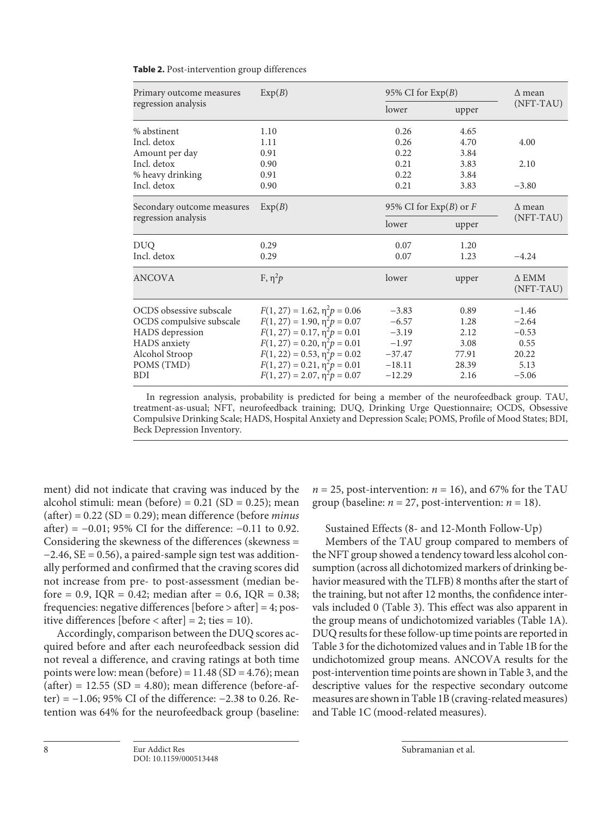| Primary outcome measures   | Exp(B)                                |                          | 95% CI for $Exp(B)$ |                           |  |
|----------------------------|---------------------------------------|--------------------------|---------------------|---------------------------|--|
| regression analysis        |                                       | lower                    | upper               | (NFT-TAU)                 |  |
| % abstinent                | 1.10                                  | 0.26                     | 4.65                |                           |  |
| Incl. detox                | 1.11                                  | 0.26                     | 4.70                | 4.00                      |  |
| Amount per day             | 0.91                                  | 0.22                     | 3.84                |                           |  |
| Incl. detox                | 0.90                                  | 0.21                     | 3.83                | 2.10                      |  |
| % heavy drinking           | 0.91                                  | 0.22                     | 3.84                |                           |  |
| Incl. detox                | 0.90                                  | 0.21                     | 3.83                | $-3.80$                   |  |
| Secondary outcome measures | Exp(B)                                | 95% CI for $Exp(B)$ or F |                     | $\Delta$ mean             |  |
| regression analysis        |                                       | lower                    | upper               | (NFT-TAU)                 |  |
| <b>DUO</b>                 | 0.29                                  | 0.07                     | 1.20                |                           |  |
| Incl. detox                | 0.29                                  | 0.07                     | 1.23                | $-4.24$                   |  |
| <b>ANCOVA</b>              | F, $\eta^2 p$                         | lower                    | upper               | $\Delta$ EMM<br>(NFT-TAU) |  |
| OCDS obsessive subscale    | $F(1, 27) = 1.62$ , $\eta^2 p = 0.06$ | $-3.83$                  | 0.89                | $-1.46$                   |  |
| OCDS compulsive subscale   | $F(1, 27) = 1.90, \eta^2 p = 0.07$    | $-6.57$                  | 1.28                | $-2.64$                   |  |
| HADS depression            | $F(1, 27) = 0.17, \eta^2 p = 0.01$    | $-3.19$                  | 2.12                | $-0.53$                   |  |
| HADS anxiety               | $F(1, 27) = 0.20, \eta^2 p = 0.01$    | $-1.97$                  | 3.08                | 0.55                      |  |
| Alcohol Stroop             | $F(1, 22) = 0.53$ , $\eta^2 p = 0.02$ | $-37.47$                 | 77.91               | 20.22                     |  |
| POMS (TMD)                 | $F(1, 27) = 0.21, \eta^2 p = 0.01$    | $-18.11$                 | 28.39               | 5.13                      |  |
| <b>BDI</b>                 | $F(1, 27) = 2.07, \eta^2 p = 0.07$    | $-12.29$                 | 2.16                | $-5.06$                   |  |

| Table 2. Post-intervention group differences |  |  |
|----------------------------------------------|--|--|
|----------------------------------------------|--|--|

In regression analysis, probability is predicted for being a member of the neurofeedback group. TAU, treatment-as-usual; NFT, neurofeedback training; DUQ, Drinking Urge Questionnaire; OCDS, Obsessive Compulsive Drinking Scale; HADS, Hospital Anxiety and Depression Scale; POMS, Profile of Mood States; BDI, Beck Depression Inventory.

ment) did not indicate that craving was induced by the alcohol stimuli: mean (before) =  $0.21$  (SD =  $0.25$ ); mean (after) = 0.22 (SD = 0.29); mean difference (before *minus* after) =  $-0.01$ ; 95% CI for the difference:  $-0.11$  to 0.92. Considering the skewness of the differences (skewness = −2.46, SE = 0.56), a paired-sample sign test was additionally performed and confirmed that the craving scores did not increase from pre- to post-assessment (median before = 0.9, IQR = 0.42; median after = 0.6, IQR = 0.38; frequencies: negative differences [before > after] = 4; positive differences [before < after] = 2; ties = 10).

Accordingly, comparison between the DUQ scores acquired before and after each neurofeedback session did not reveal a difference, and craving ratings at both time points were low: mean (before) =  $11.48$  (SD =  $4.76$ ); mean  $(after) = 12.55$  (SD = 4.80); mean difference (before-after) = −1.06; 95% CI of the difference: −2.38 to 0.26. Retention was 64% for the neurofeedback group (baseline:  $n = 25$ , post-intervention:  $n = 16$ ), and 67% for the TAU group (baseline:  $n = 27$ , post-intervention:  $n = 18$ ).

Sustained Effects (8- and 12-Month Follow-Up)

Members of the TAU group compared to members of the NFT group showed a tendency toward less alcohol consumption (across all dichotomized markers of drinking behavior measured with the TLFB) 8 months after the start of the training, but not after 12 months, the confidence intervals included 0 (Table 3). This effect was also apparent in the group means of undichotomized variables (Table 1A). DUQ results for these follow-up time points are reported in Table 3 for the dichotomized values and in Table 1B for the undichotomized group means. ANCOVA results for the post-intervention time points are shown in Table 3, and the descriptive values for the respective secondary outcome measures are shown in Table 1B (craving-related measures) and Table 1C (mood-related measures).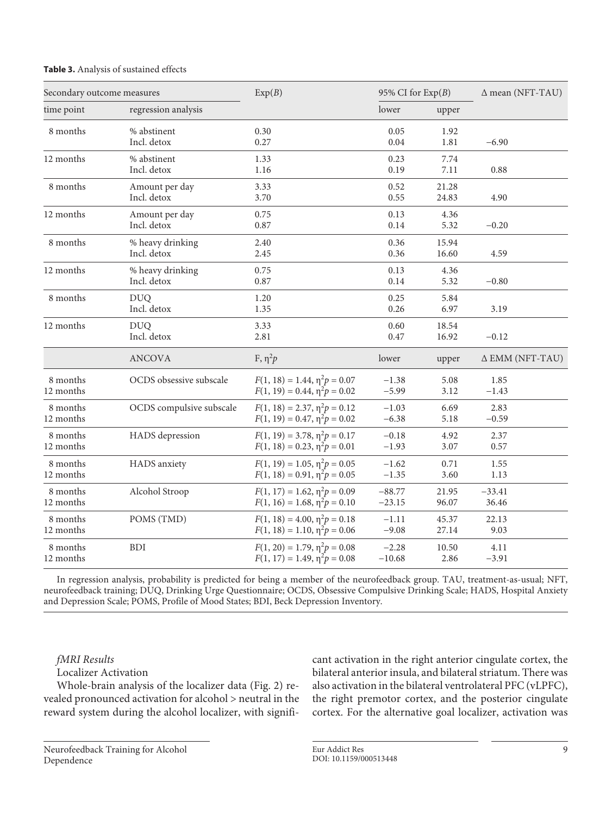| Secondary outcome measures |                                 | Exp(B)                                                                   | 95% CI for $Exp(B)$  |                | $\Delta$ mean (NFT-TAU) |
|----------------------------|---------------------------------|--------------------------------------------------------------------------|----------------------|----------------|-------------------------|
| time point                 | regression analysis             |                                                                          | lower                | upper          |                         |
| 8 months                   | % abstinent<br>Incl. detox      | 0.30<br>0.27                                                             | 0.05<br>0.04         | 1.92<br>1.81   | $-6.90$                 |
| 12 months                  | % abstinent<br>Incl. detox      | 1.33<br>1.16                                                             | 0.23<br>0.19         | 7.74<br>7.11   | 0.88                    |
| 8 months                   | Amount per day<br>Incl. detox   | 3.33<br>3.70                                                             | 0.52<br>0.55         | 21.28<br>24.83 | 4.90                    |
| 12 months                  | Amount per day<br>Incl. detox   | 0.75<br>0.87                                                             | 0.13<br>0.14         | 4.36<br>5.32   | $-0.20$                 |
| 8 months                   | % heavy drinking<br>Incl. detox | 2.40<br>2.45                                                             | 0.36<br>0.36         | 15.94<br>16.60 | 4.59                    |
| 12 months                  | % heavy drinking<br>Incl. detox | 0.75<br>0.87                                                             | 0.13<br>0.14         | 4.36<br>5.32   | $-0.80$                 |
| 8 months                   | <b>DUQ</b><br>Incl. detox       | 1.20<br>1.35                                                             | 0.25<br>0.26         | 5.84<br>6.97   | 3.19                    |
| 12 months                  | <b>DUQ</b><br>Incl. detox       | 3.33<br>2.81                                                             | 0.60<br>0.47         | 18.54<br>16.92 | $-0.12$                 |
|                            | <b>ANCOVA</b>                   | F, $\eta^2 p$                                                            | lower                | upper          | $\Delta$ EMM (NFT-TAU)  |
| 8 months<br>12 months      | OCDS obsessive subscale         | $F(1, 18) = 1.44, \eta^2 p = 0.07$<br>$F(1, 19) = 0.44, \eta^2 p = 0.02$ | $-1.38$<br>$-5.99$   | 5.08<br>3.12   | 1.85<br>$-1.43$         |
| 8 months<br>12 months      | OCDS compulsive subscale        | $F(1, 18) = 2.37, \eta^2 p = 0.12$<br>$F(1, 19) = 0.47, \eta^2 p = 0.02$ | $-1.03$<br>$-6.38$   | 6.69<br>5.18   | 2.83<br>$-0.59$         |
| 8 months<br>12 months      | HADS depression                 | $F(1, 19) = 3.78, \eta^2 p = 0.17$<br>$F(1, 18) = 0.23, \eta^2 p = 0.01$ | $-0.18$<br>$-1.93$   | 4.92<br>3.07   | 2.37<br>0.57            |
| 8 months<br>12 months      | HADS anxiety                    | $F(1, 19) = 1.05, \eta^2 p = 0.05$<br>$F(1, 18) = 0.91, \eta^2 p = 0.05$ | $-1.62$<br>$-1.35$   | 0.71<br>3.60   | 1.55<br>1.13            |
| 8 months<br>12 months      | Alcohol Stroop                  | $F(1, 17) = 1.62, \eta^2 p = 0.09$<br>$F(1, 16) = 1.68, \eta^2 p = 0.10$ | $-88.77$<br>$-23.15$ | 21.95<br>96.07 | $-33.41$<br>36.46       |
| 8 months<br>12 months      | POMS (TMD)                      | $F(1, 18) = 4.00, \eta^2 p = 0.18$<br>$F(1, 18) = 1.10, \eta^2 p = 0.06$ | $-1.11$<br>$-9.08$   | 45.37<br>27.14 | 22.13<br>9.03           |
| 8 months<br>12 months      | <b>BDI</b>                      | $F(1, 20) = 1.79, \eta^2 p = 0.08$<br>$F(1, 17) = 1.49, \eta^2 p = 0.08$ | $-2.28$<br>$-10.68$  | 10.50<br>2.86  | 4.11<br>$-3.91$         |

# **Table 3.** Analysis of sustained effects

In regression analysis, probability is predicted for being a member of the neurofeedback group. TAU, treatment-as-usual; NFT, neurofeedback training; DUQ, Drinking Urge Questionnaire; OCDS, Obsessive Compulsive Drinking Scale; HADS, Hospital Anxiety and Depression Scale; POMS, Profile of Mood States; BDI, Beck Depression Inventory.

# *fMRI Results*

Localizer Activation

Whole-brain analysis of the localizer data (Fig. 2) revealed pronounced activation for alcohol > neutral in the reward system during the alcohol localizer, with significant activation in the right anterior cingulate cortex, the bilateral anterior insula, and bilateral striatum. There was also activation in the bilateral ventrolateral PFC (vLPFC), the right premotor cortex, and the posterior cingulate cortex. For the alternative goal localizer, activation was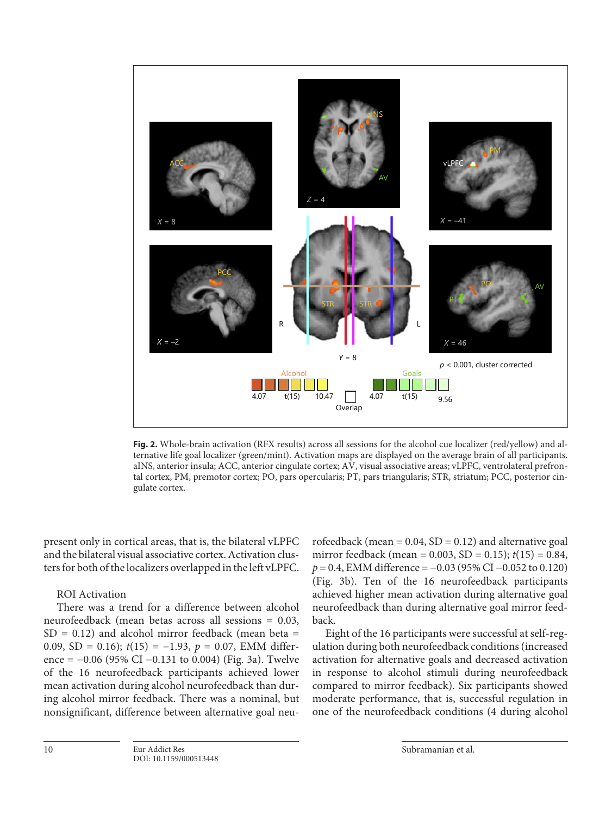

**Fig. 2.** Whole-brain activation (RFX results) across all sessions for the alcohol cue localizer (red/yellow) and alternative life goal localizer (green/mint). Activation maps are displayed on the average brain of all participants. aINS, anterior insula; ACC, anterior cingulate cortex; AV, visual associative areas; vLPFC, ventrolateral prefrontal cortex, PM, premotor cortex; PO, pars opercularis; PT, pars triangularis; STR, striatum; PCC, posterior cingulate cortex.

present only in cortical areas, that is, the bilateral vLPFC and the bilateral visual associative cortex. Activation clusters for both of the localizers overlapped in the left vLPFC.

# ROI Activation

There was a trend for a difference between alcohol neurofeedback (mean betas across all sessions = 0.03,  $SD = 0.12$ ) and alcohol mirror feedback (mean beta = 0.09, SD = 0.16); *t*(15) = −1.93, *p* = 0.07, EMM difference =  $-0.06$  (95% CI  $-0.131$  to 0.004) (Fig. 3a). Twelve of the 16 neurofeedback participants achieved lower mean activation during alcohol neurofeedback than during alcohol mirror feedback. There was a nominal, but nonsignificant, difference between alternative goal neurofeedback (mean =  $0.04$ , SD =  $0.12$ ) and alternative goal mirror feedback (mean = 0.003, SD = 0.15); *t*(15) = 0.84, *p* = 0.4, EMM difference = −0.03 (95% CI −0.052 to 0.120) (Fig. 3b). Ten of the 16 neurofeedback participants achieved higher mean activation during alternative goal neurofeedback than during alternative goal mirror feedback.

Eight of the 16 participants were successful at self-regulation during both neurofeedback conditions (increased activation for alternative goals and decreased activation in response to alcohol stimuli during neurofeedback compared to mirror feedback). Six participants showed moderate performance, that is, successful regulation in one of the neurofeedback conditions (4 during alcohol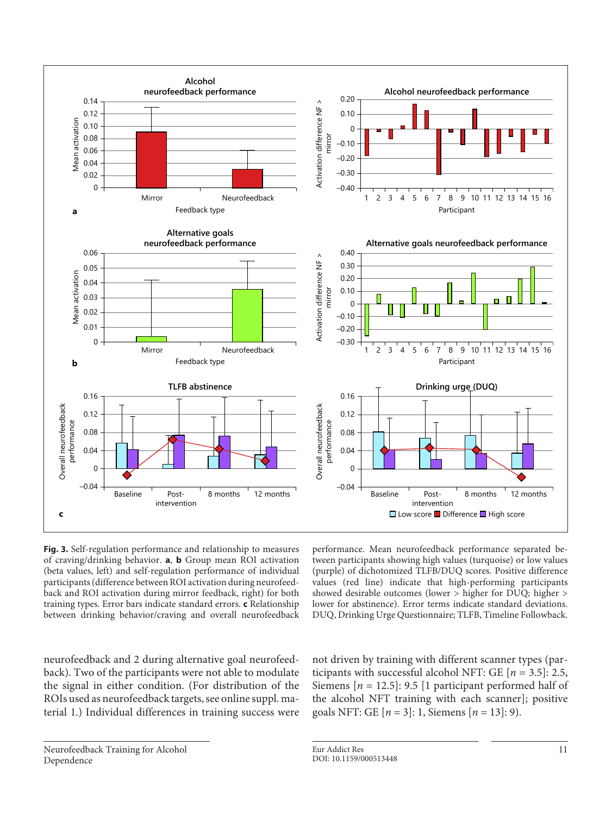

**Fig. 3.** Self-regulation performance and relationship to measures of craving/drinking behavior. **a**, **b** Group mean ROI activation (beta values, left) and self-regulation performance of individual participants (difference between ROI activation during neurofeedback and ROI activation during mirror feedback, right) for both training types. Error bars indicate standard errors. **c** Relationship between drinking behavior/craving and overall neurofeedback

performance. Mean neurofeedback performance separated between participants showing high values (turquoise) or low values (purple) of dichotomized TLFB/DUQ scores. Positive difference values (red line) indicate that high-performing participants showed desirable outcomes (lower > higher for DUQ; higher > lower for abstinence). Error terms indicate standard deviations. DUQ, Drinking Urge Questionnaire; TLFB, Timeline Followback.

neurofeedback and 2 during alternative goal neurofeedback). Two of the participants were not able to modulate the signal in either condition. (For distribution of the ROIs used as neurofeedback targets, see online suppl. material 1.) Individual differences in training success were

not driven by training with different scanner types (participants with successful alcohol NFT: GE  $[n = 3.5]$ : 2.5, Siemens [*n* = 12.5]: 9.5 [1 participant performed half of the alcohol NFT training with each scanner]; positive goals NFT: GE [*n* = 3]: 1, Siemens [*n* = 13]: 9).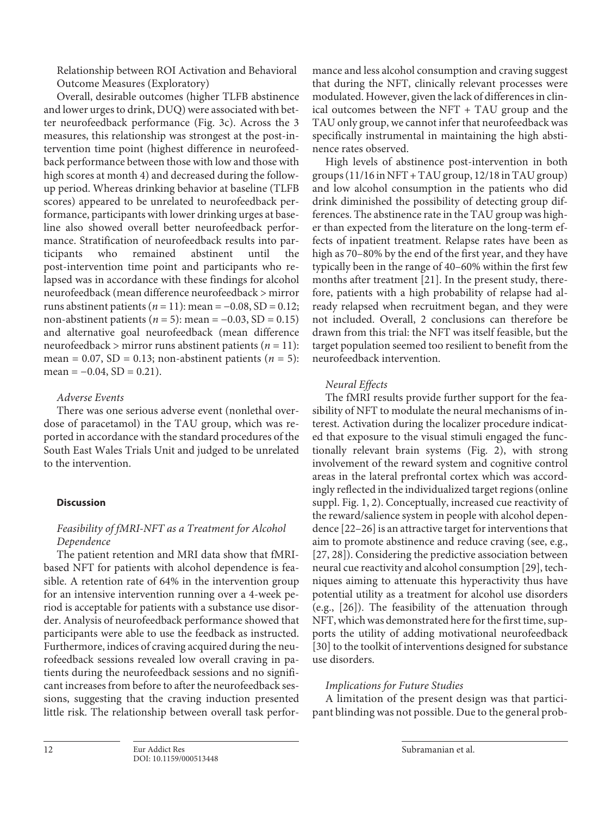Relationship between ROI Activation and Behavioral Outcome Measures (Exploratory)

Overall, desirable outcomes (higher TLFB abstinence and lower urges to drink, DUQ) were associated with better neurofeedback performance (Fig. 3c). Across the 3 measures, this relationship was strongest at the post-intervention time point (highest difference in neurofeedback performance between those with low and those with high scores at month 4) and decreased during the followup period. Whereas drinking behavior at baseline (TLFB scores) appeared to be unrelated to neurofeedback performance, participants with lower drinking urges at baseline also showed overall better neurofeedback performance. Stratification of neurofeedback results into participants who remained abstinent until the post-intervention time point and participants who relapsed was in accordance with these findings for alcohol neurofeedback (mean difference neurofeedback > mirror runs abstinent patients ( $n = 11$ ): mean =  $-0.08$ , SD = 0.12; non-abstinent patients ( $n = 5$ ): mean =  $-0.03$ , SD = 0.15) and alternative goal neurofeedback (mean difference neurofeedback > mirror runs abstinent patients (*n* = 11): mean =  $0.07$ , SD =  $0.13$ ; non-abstinent patients ( $n = 5$ ): mean =  $-0.04$ , SD = 0.21).

# *Adverse Events*

There was one serious adverse event (nonlethal overdose of paracetamol) in the TAU group, which was reported in accordance with the standard procedures of the South East Wales Trials Unit and judged to be unrelated to the intervention.

# **Discussion**

# *Feasibility of fMRI-NFT as a Treatment for Alcohol Dependence*

The patient retention and MRI data show that fMRIbased NFT for patients with alcohol dependence is feasible. A retention rate of 64% in the intervention group for an intensive intervention running over a 4-week period is acceptable for patients with a substance use disorder. Analysis of neurofeedback performance showed that participants were able to use the feedback as instructed. Furthermore, indices of craving acquired during the neurofeedback sessions revealed low overall craving in patients during the neurofeedback sessions and no significant increases from before to after the neurofeedback sessions, suggesting that the craving induction presented little risk. The relationship between overall task performance and less alcohol consumption and craving suggest that during the NFT, clinically relevant processes were modulated. However, given the lack of differences in clinical outcomes between the NFT + TAU group and the TAU only group, we cannot infer that neurofeedback was specifically instrumental in maintaining the high abstinence rates observed.

High levels of abstinence post-intervention in both groups (11/16 in NFT + TAU group, 12/18 in TAU group) and low alcohol consumption in the patients who did drink diminished the possibility of detecting group differences. The abstinence rate in the TAU group was higher than expected from the literature on the long-term effects of inpatient treatment. Relapse rates have been as high as 70–80% by the end of the first year, and they have typically been in the range of 40–60% within the first few months after treatment [\[2](#page-13-5)[1\]](#page-13-0). In the present study, therefore, patients with a high probability of relapse had already relapsed when recruitment began, and they were not included. Overall, 2 conclusions can therefore be drawn from this trial: the NFT was itself feasible, but the target population seemed too resilient to benefit from the neurofeedback intervention.

# <span id="page-11-0"></span>*Neural Effects*

<span id="page-11-1"></span>The fMRI results provide further support for the feasibility of NFT to modulate the neural mechanisms of interest. Activation during the localizer procedure indicated that exposure to the visual stimuli engaged the functionally relevant brain systems (Fig. 2), with strong involvement of the reward system and cognitive control areas in the lateral prefrontal cortex which was accordingly reflected in the individualized target regions (online suppl. Fig. 1, 2). Conceptually, increased cue reactivity of the reward/salience system in people with alcohol dependence [\[22](#page-13-5)–[2](#page-13-5)[6](#page-13-2)] is an attractive target for interventions that aim to promote abstinence and reduce craving (see, e.g., [[2](#page-13-5)[7](#page-13-3), [2](#page-13-5)[8\]](#page-13-8)). Considering the predictive association between neural cue reactivity and alcohol consumption [\[2](#page-13-5)[9](#page-13-4)], techniques aiming to attenuate this hyperactivity thus have potential utility as a treatment for alcohol use disorders (e.g., [[2](#page-13-5)[6](#page-13-2)]). The feasibility of the attenuation through NFT, which was demonstrated here for the first time, supports the utility of adding motivational neurofeedback [[3](#page-13-6)0] to the toolkit of interventions designed for substance use disorders.

# *Implications for Future Studies*

A limitation of the present design was that participant blinding was not possible. Due to the general prob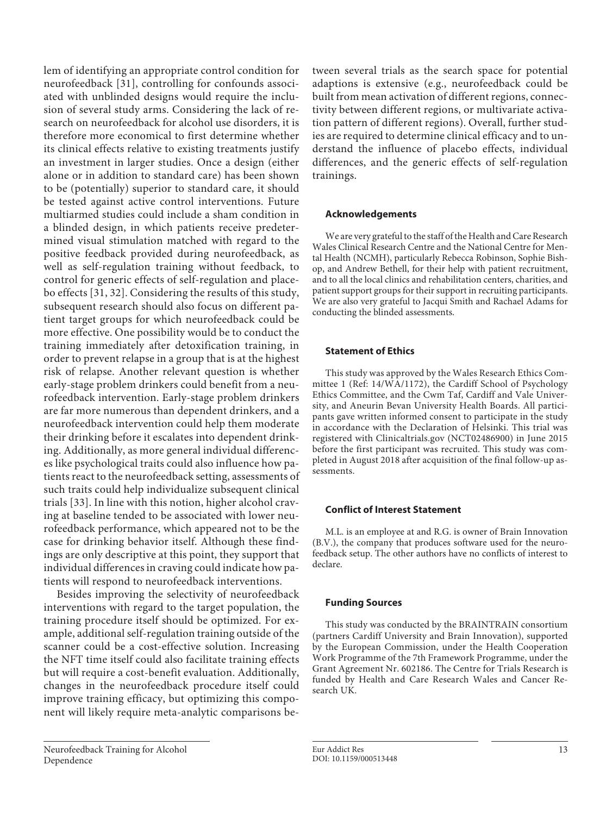lem of identifying an appropriate control condition for neurofeedback [[3](#page-13-6)[1\]](#page-13-0), controlling for confounds associated with unblinded designs would require the inclusion of several study arms. Considering the lack of research on neurofeedback for alcohol use disorders, it is therefore more economical to first determine whether its clinical effects relative to existing treatments justify an investment in larger studies. Once a design (either alone or in addition to standard care) has been shown to be (potentially) superior to standard care, it should be tested against active control interventions. Future multiarmed studies could include a sham condition in a blinded design, in which patients receive predetermined visual stimulation matched with regard to the positive feedback provided during neurofeedback, as well as self-regulation training without feedback, to control for generic effects of self-regulation and placebo effects [\[3](#page-13-6)[1](#page-13-0), [3](#page-13-6)[2\]](#page-13-5). Considering the results of this study, subsequent research should also focus on different patient target groups for which neurofeedback could be more effective. One possibility would be to conduct the training immediately after detoxification training, in order to prevent relapse in a group that is at the highest risk of relapse. Another relevant question is whether early-stage problem drinkers could benefit from a neurofeedback intervention. Early-stage problem drinkers are far more numerous than dependent drinkers, and a neurofeedback intervention could help them moderate their drinking before it escalates into dependent drinking. Additionally, as more general individual differences like psychological traits could also influence how patients react to the neurofeedback setting, assessments of such traits could help individualize subsequent clinical trials [[33\]](#page-13-6). In line with this notion, higher alcohol craving at baseline tended to be associated with lower neurofeedback performance, which appeared not to be the case for drinking behavior itself. Although these findings are only descriptive at this point, they support that individual differences in craving could indicate how patients will respond to neurofeedback interventions.

Besides improving the selectivity of neurofeedback interventions with regard to the target population, the training procedure itself should be optimized. For example, additional self-regulation training outside of the scanner could be a cost-effective solution. Increasing the NFT time itself could also facilitate training effects but will require a cost-benefit evaluation. Additionally, changes in the neurofeedback procedure itself could improve training efficacy, but optimizing this component will likely require meta-analytic comparisons between several trials as the search space for potential adaptions is extensive (e.g., neurofeedback could be built from mean activation of different regions, connectivity between different regions, or multivariate activation pattern of different regions). Overall, further studies are required to determine clinical efficacy and to understand the influence of placebo effects, individual differences, and the generic effects of self-regulation trainings.

## **Acknowledgements**

We are very grateful to the staff of the Health and Care Research Wales Clinical Research Centre and the National Centre for Mental Health (NCMH), particularly Rebecca Robinson, Sophie Bishop, and Andrew Bethell, for their help with patient recruitment, and to all the local clinics and rehabilitation centers, charities, and patient support groups for their support in recruiting participants. We are also very grateful to Jacqui Smith and Rachael Adams for conducting the blinded assessments.

#### **Statement of Ethics**

This study was approved by the Wales Research Ethics Committee 1 (Ref: 14/WA/1172), the Cardiff School of Psychology Ethics Committee, and the Cwm Taf, Cardiff and Vale University, and Aneurin Bevan University Health Boards. All participants gave written informed consent to participate in the study in accordance with the Declaration of Helsinki. This trial was registered with Clinicaltrials.gov (NCT02486900) in June 2015 before the first participant was recruited. This study was completed in August 2018 after acquisition of the final follow-up assessments.

#### **Conflict of Interest Statement**

M.L. is an employee at and R.G. is owner of Brain Innovation (B.V.), the company that produces software used for the neurofeedback setup. The other authors have no conflicts of interest to declare.

#### **Funding Sources**

This study was conducted by the BRAINTRAIN consortium (partners Cardiff University and Brain Innovation), supported by the European Commission, under the Health Cooperation Work Programme of the 7th Framework Programme, under the Grant Agreement Nr. 602186. The Centre for Trials Research is funded by Health and Care Research Wales and Cancer Research UK.